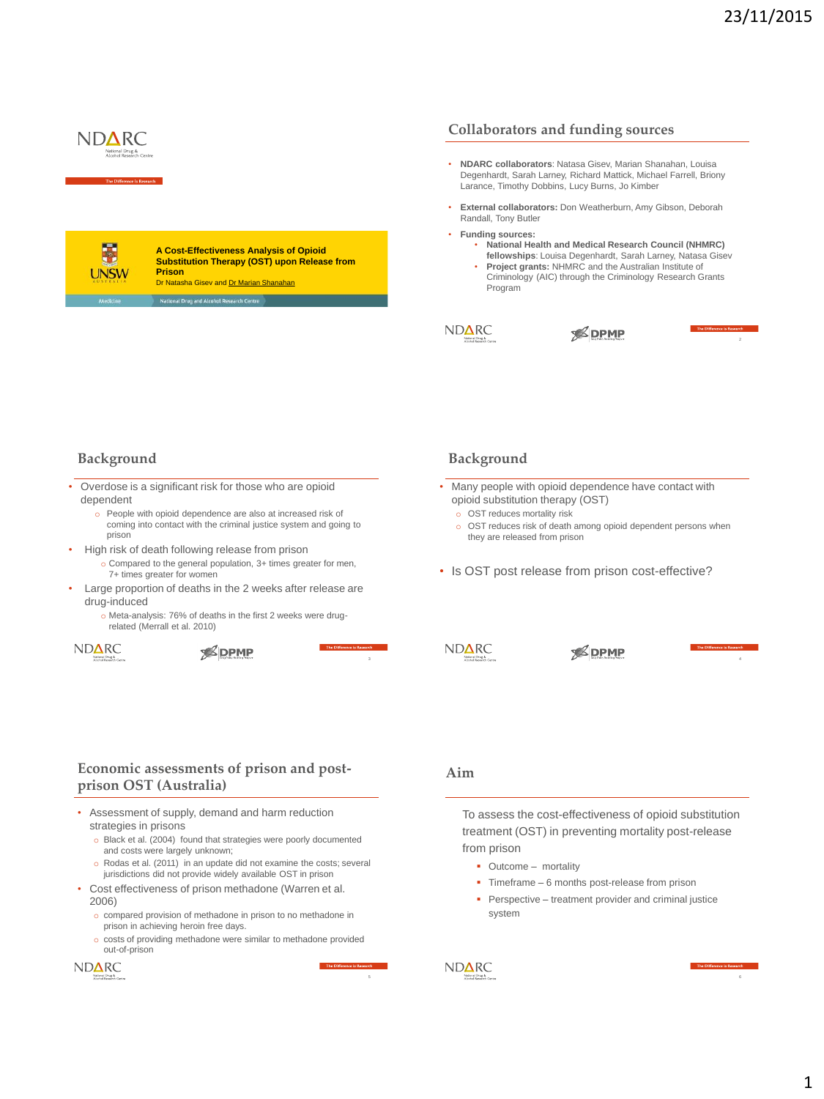

# **Collaborators and funding sources**

- **NDARC collaborators**: Natasa Gisev, Marian Shanahan, Louisa Degenhardt, Sarah Larney, Richard Mattick, Michael Farrell, Briony Larance, Timothy Dobbins, Lucy Burns, Jo Kimber
- **External collaborators:** Don Weatherburn, Amy Gibson, Deborah Randall, Tony Butler
- **Funding sources:** 
	- **National Health and Medical Research Council (NHMRC) fellowships**: Louisa Degenhardt, Sarah Larney, Natasa Gisev
	- **Project grants:** NHMRC and the Australian Institute of Criminology (AIC) through the Criminology Research Grants Program



**SPMP** 

# **Background**

- Overdose is a significant risk for those who are opioid dependent
	- o People with opioid dependence are also at increased risk of coming into contact with the criminal justice system and going to prison

**A Cost-Effectiveness Analysis of Opioid Substitution Therapy (OST) upon Release from** 

Dr Natasha Gisev and Dr Marian Shanahan

**Prison**

- High risk of death following release from prison
	- o Compared to the general population, 3+ times greater for men, 7+ times greater for women
- Large proportion of deaths in the 2 weeks after release are drug-induced
	- o Meta-analysis: 76% of deaths in the first 2 weeks were drugrelated (Merrall et al. 2010)

**NDARC** 

**SPMP** 

### **Background**

- Many people with opioid dependence have contact with opioid substitution therapy (OST)
	- o OST reduces mortality risk
	- o OST reduces risk of death among opioid dependent persons when they are released from prison
- Is OST post release from prison cost-effective?
- $ND\Delta RC$

**SPMP** 

# **Economic assessments of prison and postprison OST (Australia)**

- Assessment of supply, demand and harm reduction strategies in prisons
	- o Black et al. (2004) found that strategies were poorly documented and costs were largely unknown;
	- o Rodas et al. (2011) in an update did not examine the costs; several jurisdictions did not provide widely available OST in prison
- Cost effectiveness of prison methadone (Warren et al. 2006)
	- o compared provision of methadone in prison to no methadone in prison in achieving heroin free days.
	- o costs of providing methadone were similar to methadone provided out-of-prison



# **Aim**

To assess the cost-effectiveness of opioid substitution treatment (OST) in preventing mortality post-release from prison

- Outcome mortality
- Timeframe 6 months post-release from prison
- **Perspective treatment provider and criminal justice** system

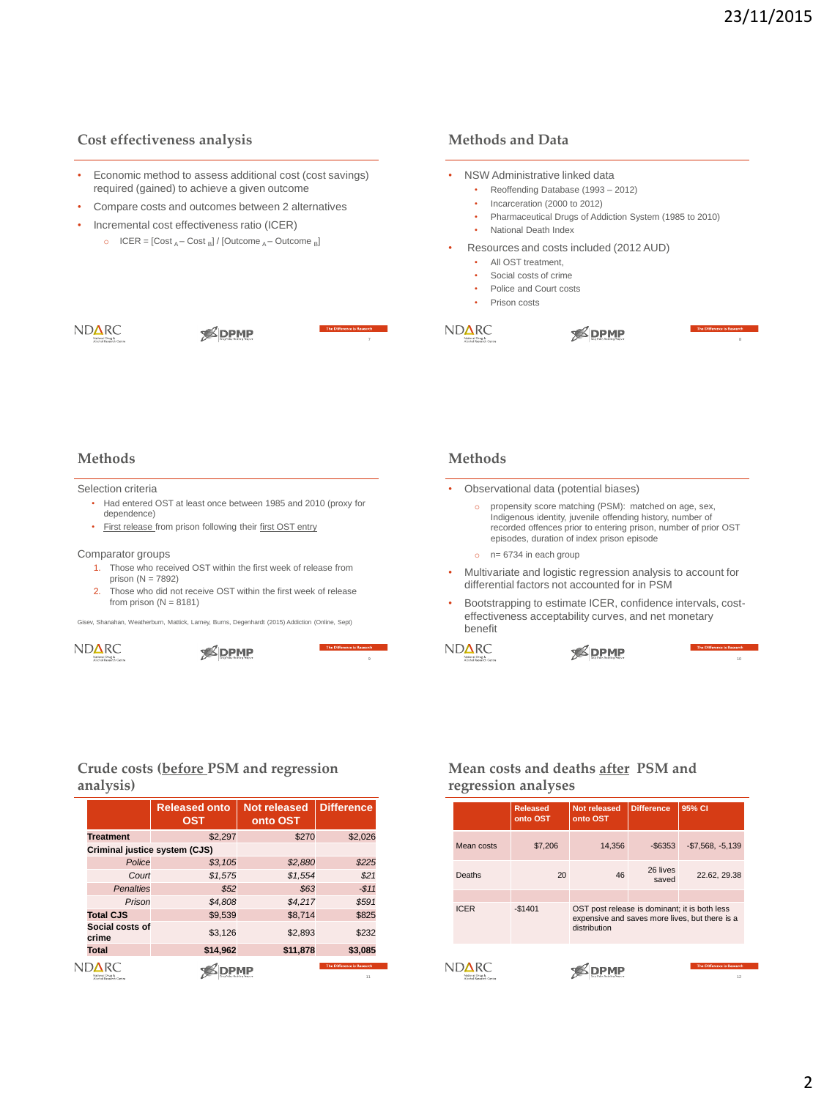# **Cost effectiveness analysis**

- Economic method to assess additional cost (cost savings) required (gained) to achieve a given outcome
- Compare costs and outcomes between 2 alternatives
- Incremental cost effectiveness ratio (ICER)
	- o ICER =  $[Cost_A Cost_B] / [Outcome_A Outcome_B]$

# **Methods and Data**

- NSW Administrative linked data • Reoffending Database (1993 – 2012) • Incarceration (2000 to 2012) • Pharmaceutical Drugs of Addiction System (1985 to 2010) • National Death Index • Resources and costs included (2012 AUD) • All OST treatment, • Social costs of crime
	- Police and Court costs
	- Prison costs

NDARC

**SDPMP** 



NDARC

### **Methods**

#### Selection criteria

- Had entered OST at least once between 1985 and 2010 (proxy for dependence)
- First release from prison following their first OST entry

#### Comparator groups

- 1. Those who received OST within the first week of release from prison (N = 7892)
- 2. Those who did not receive OST within the first week of release from prison  $(N = 8181)$

Gisev, Shanahan, Weatherburn, Mattick, Larney, Burns, Degenhardt (2015) Addiction (Online, Sept)



**SPMP** 

### **Methods**

- Observational data (potential biases)
	- o propensity score matching (PSM): matched on age, sex, Indigenous identity, juvenile offending history, number of recorded offences prior to entering prison, number of prior OST episodes, duration of index prison episode

**SDPMP** 

- $o$   $n= 6734$  in each group
- Multivariate and logistic regression analysis to account for differential factors not accounted for in PSM
- Bootstrapping to estimate ICER, confidence intervals, costeffectiveness acceptability curves, and net monetary benefit



 $\ddot{\phantom{0}}$ 

**SPMP** 

10

# **Crude costs (before PSM and regression analysis)**

|                               | <b>Released onto</b><br><b>OST</b> | <b>Not released</b><br>onto OST | <b>Difference</b>                |
|-------------------------------|------------------------------------|---------------------------------|----------------------------------|
| <b>Treatment</b>              | \$2.297                            | \$270                           | \$2,026                          |
| Criminal justice system (CJS) |                                    |                                 |                                  |
| Police                        | \$3,105                            | \$2,880                         | \$225                            |
| Court                         | \$1,575                            | \$1,554                         | \$21                             |
| <b>Penalties</b>              | \$52                               | \$63                            | $-511$                           |
| Prison                        | \$4,808                            | \$4.217                         | \$591                            |
| <b>Total CJS</b>              | \$9.539                            | \$8.714                         | \$825                            |
| Social costs of<br>crime      | \$3.126                            | \$2.893                         | \$232                            |
| Total                         | \$14,962                           | \$11,878                        | \$3,085                          |
| Alcohol Research Center       |                                    |                                 | The Difference is Research<br>11 |

# **Mean costs and deaths after PSM and regression analyses**

|                         | <b>Released</b><br>onto OST | Not released<br>onto OST                                                                                        | <b>Difference</b> | 95% CI                           |
|-------------------------|-----------------------------|-----------------------------------------------------------------------------------------------------------------|-------------------|----------------------------------|
| Mean costs              | \$7,206                     | 14,356                                                                                                          | $-$ \$6353        | $-$7,568, -5,139$                |
| <b>Deaths</b>           | 20                          | 46                                                                                                              | 26 lives<br>saved | 22.62, 29.38                     |
| <b>ICER</b>             | $-$1401$                    | OST post release is dominant; it is both less<br>expensive and saves more lives, but there is a<br>distribution |                   |                                  |
| Alcohol Research Centre |                             |                                                                                                                 |                   | The Difference is Research<br>12 |